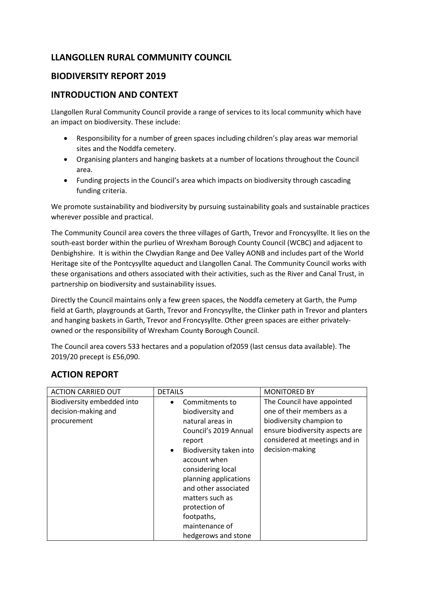## **LLANGOLLEN RURAL COMMUNITY COUNCIL**

## **BIODIVERSITY REPORT 2019**

## **INTRODUCTION AND CONTEXT**

Llangollen Rural Community Council provide a range of services to its local community which have an impact on biodiversity. These include:

- Responsibility for a number of green spaces including children's play areas war memorial sites and the Noddfa cemetery.
- Organising planters and hanging baskets at a number of locations throughout the Council area.
- Funding projects in the Council's area which impacts on biodiversity through cascading funding criteria.

We promote sustainability and biodiversity by pursuing sustainability goals and sustainable practices wherever possible and practical.

The Community Council area covers the three villages of Garth, Trevor and Froncysyllte. It lies on the south-east border within the purlieu of Wrexham Borough County Council (WCBC) and adjacent to Denbighshire. It is within the Clwydian Range and Dee Valley AONB and includes part of the World Heritage site of the Pontcysyllte aqueduct and Llangollen Canal. The Community Council works with these organisations and others associated with their activities, such as the River and Canal Trust, in partnership on biodiversity and sustainability issues.

Directly the Council maintains only a few green spaces, the Noddfa cemetery at Garth, the Pump field at Garth, playgrounds at Garth, Trevor and Froncysyllte, the Clinker path in Trevor and planters and hanging baskets in Garth, Trevor and Froncysyllte. Other green spaces are either privatelyowned or the responsibility of Wrexham County Borough Council.

The Council area covers 533 hectares and a population of2059 (last census data available). The 2019/20 precept is £56,090.

## **ACTION REPORT**

| <b>ACTION CARRIED OUT</b>                                        | <b>DETAILS</b>                                                                                                                                                                                                                                                                                                     | <b>MONITORED BY</b>                                                                                                                                                        |
|------------------------------------------------------------------|--------------------------------------------------------------------------------------------------------------------------------------------------------------------------------------------------------------------------------------------------------------------------------------------------------------------|----------------------------------------------------------------------------------------------------------------------------------------------------------------------------|
| Biodiversity embedded into<br>decision-making and<br>procurement | Commitments to<br>biodiversity and<br>natural areas in<br>Council's 2019 Annual<br>report<br>Biodiversity taken into<br>$\bullet$<br>account when<br>considering local<br>planning applications<br>and other associated<br>matters such as<br>protection of<br>footpaths,<br>maintenance of<br>hedgerows and stone | The Council have appointed<br>one of their members as a<br>biodiversity champion to<br>ensure biodiversity aspects are<br>considered at meetings and in<br>decision-making |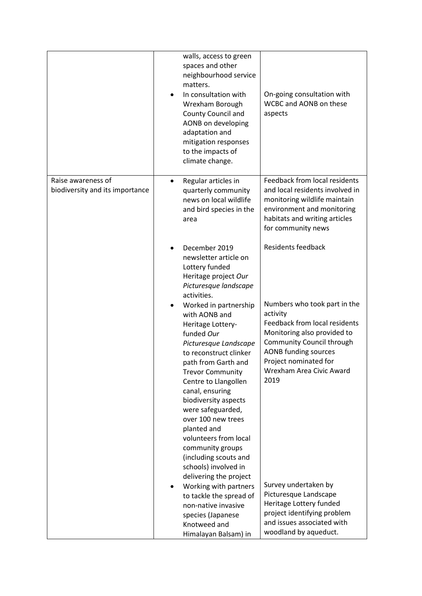|                                                       | walls, access to green<br>spaces and other<br>neighbourhood service<br>matters.<br>In consultation with<br>٠<br>Wrexham Borough<br>County Council and<br>AONB on developing<br>adaptation and<br>mitigation responses<br>to the impacts of<br>climate change.                                                                                                                                                                                                                           | On-going consultation with<br>WCBC and AONB on these<br>aspects                                                                                                                                                                                                                    |
|-------------------------------------------------------|-----------------------------------------------------------------------------------------------------------------------------------------------------------------------------------------------------------------------------------------------------------------------------------------------------------------------------------------------------------------------------------------------------------------------------------------------------------------------------------------|------------------------------------------------------------------------------------------------------------------------------------------------------------------------------------------------------------------------------------------------------------------------------------|
| Raise awareness of<br>biodiversity and its importance | Regular articles in<br>$\bullet$<br>quarterly community<br>news on local wildlife<br>and bird species in the<br>area                                                                                                                                                                                                                                                                                                                                                                    | Feedback from local residents<br>and local residents involved in<br>monitoring wildlife maintain<br>environment and monitoring<br>habitats and writing articles<br>for community news                                                                                              |
|                                                       | December 2019<br>newsletter article on<br>Lottery funded<br>Heritage project Our<br>Picturesque landscape<br>activities.                                                                                                                                                                                                                                                                                                                                                                | <b>Residents feedback</b>                                                                                                                                                                                                                                                          |
|                                                       | Worked in partnership<br>with AONB and<br>Heritage Lottery-<br>funded Our<br>Picturesque Landscape<br>to reconstruct clinker<br>path from Garth and<br><b>Trevor Community</b><br>Centre to Llangollen<br>canal, ensuring<br>biodiversity aspects<br>were safeguarded,<br>over 100 new trees<br>planted and<br>volunteers from local<br>community groups<br>(including scouts and<br>schools) involved in<br>delivering the project<br>Working with partners<br>to tackle the spread of | Numbers who took part in the<br>activity<br>Feedback from local residents<br>Monitoring also provided to<br>Community Council through<br><b>AONB funding sources</b><br>Project nominated for<br>Wrexham Area Civic Award<br>2019<br>Survey undertaken by<br>Picturesque Landscape |
|                                                       | non-native invasive<br>species (Japanese<br>Knotweed and<br>Himalayan Balsam) in                                                                                                                                                                                                                                                                                                                                                                                                        | Heritage Lottery funded<br>project identifying problem<br>and issues associated with<br>woodland by aqueduct.                                                                                                                                                                      |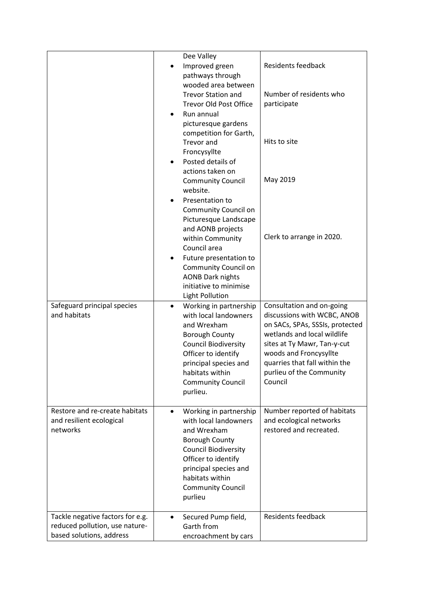|                                  | Dee Valley                                           |                                                                |
|----------------------------------|------------------------------------------------------|----------------------------------------------------------------|
|                                  | Improved green                                       | <b>Residents feedback</b>                                      |
|                                  | pathways through                                     |                                                                |
|                                  | wooded area between                                  |                                                                |
|                                  | <b>Trevor Station and</b>                            | Number of residents who                                        |
|                                  | <b>Trevor Old Post Office</b>                        | participate                                                    |
|                                  | Run annual                                           |                                                                |
|                                  | picturesque gardens                                  |                                                                |
|                                  | competition for Garth,                               | Hits to site                                                   |
|                                  | Trevor and                                           |                                                                |
|                                  | Froncysyllte<br>Posted details of                    |                                                                |
|                                  | actions taken on                                     |                                                                |
|                                  | <b>Community Council</b>                             | May 2019                                                       |
|                                  | website.                                             |                                                                |
|                                  | Presentation to                                      |                                                                |
|                                  | Community Council on                                 |                                                                |
|                                  | Picturesque Landscape                                |                                                                |
|                                  | and AONB projects                                    |                                                                |
|                                  | within Community                                     | Clerk to arrange in 2020.                                      |
|                                  | Council area                                         |                                                                |
|                                  | Future presentation to                               |                                                                |
|                                  | Community Council on                                 |                                                                |
|                                  | <b>AONB Dark nights</b>                              |                                                                |
|                                  | initiative to minimise                               |                                                                |
|                                  | <b>Light Pollution</b>                               |                                                                |
| Safeguard principal species      | Working in partnership<br>$\bullet$                  | Consultation and on-going                                      |
| and habitats                     | with local landowners                                | discussions with WCBC, ANOB                                    |
|                                  | and Wrexham                                          | on SACs, SPAs, SSSIs, protected<br>wetlands and local wildlife |
|                                  | <b>Borough County</b><br><b>Council Biodiversity</b> | sites at Ty Mawr, Tan-y-cut                                    |
|                                  | Officer to identify                                  | woods and Froncysyllte                                         |
|                                  | principal species and                                | quarries that fall within the                                  |
|                                  | habitats within                                      | purlieu of the Community                                       |
|                                  | <b>Community Council</b>                             | Council                                                        |
|                                  | purlieu.                                             |                                                                |
|                                  |                                                      |                                                                |
| Restore and re-create habitats   | Working in partnership<br>$\bullet$                  | Number reported of habitats                                    |
| and resilient ecological         | with local landowners                                | and ecological networks                                        |
| networks                         | and Wrexham                                          | restored and recreated.                                        |
|                                  | <b>Borough County</b>                                |                                                                |
|                                  | <b>Council Biodiversity</b>                          |                                                                |
|                                  | Officer to identify                                  |                                                                |
|                                  | principal species and<br>habitats within             |                                                                |
|                                  |                                                      |                                                                |
|                                  | <b>Community Council</b><br>purlieu                  |                                                                |
|                                  |                                                      |                                                                |
| Tackle negative factors for e.g. | Secured Pump field,<br>$\bullet$                     | <b>Residents feedback</b>                                      |
| reduced pollution, use nature-   | Garth from                                           |                                                                |
| based solutions, address         | encroachment by cars                                 |                                                                |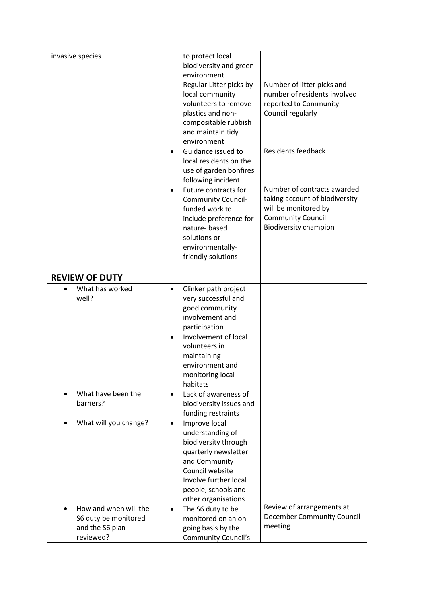| invasive species                                                              | to protect local<br>biodiversity and green<br>environment<br>Regular Litter picks by<br>local community<br>volunteers to remove<br>plastics and non-<br>compositable rubbish<br>and maintain tidy<br>environment<br>Guidance issued to<br>$\bullet$                        | Number of litter picks and<br>number of residents involved<br>reported to Community<br>Council regularly<br><b>Residents feedback</b>             |
|-------------------------------------------------------------------------------|----------------------------------------------------------------------------------------------------------------------------------------------------------------------------------------------------------------------------------------------------------------------------|---------------------------------------------------------------------------------------------------------------------------------------------------|
|                                                                               | local residents on the<br>use of garden bonfires<br>following incident<br>Future contracts for<br>٠<br><b>Community Council-</b><br>funded work to<br>include preference for<br>nature-based<br>solutions or<br>environmentally-<br>friendly solutions                     | Number of contracts awarded<br>taking account of biodiversity<br>will be monitored by<br><b>Community Council</b><br><b>Biodiversity champion</b> |
| <b>REVIEW OF DUTY</b>                                                         |                                                                                                                                                                                                                                                                            |                                                                                                                                                   |
| What has worked<br>well?                                                      | Clinker path project<br>very successful and<br>good community<br>involvement and<br>participation<br>Involvement of local<br>volunteers in<br>maintaining<br>environment and<br>monitoring local<br>habitats                                                               |                                                                                                                                                   |
| What have been the<br>barriers?<br>What will you change?                      | Lack of awareness of<br>biodiversity issues and<br>funding restraints<br>Improve local<br>٠<br>understanding of<br>biodiversity through<br>quarterly newsletter<br>and Community<br>Council website<br>Involve further local<br>people, schools and<br>other organisations | Review of arrangements at                                                                                                                         |
| How and when will the<br>S6 duty be monitored<br>and the S6 plan<br>reviewed? | The S6 duty to be<br>٠<br>monitored on an on-<br>going basis by the<br><b>Community Council's</b>                                                                                                                                                                          | <b>December Community Council</b><br>meeting                                                                                                      |